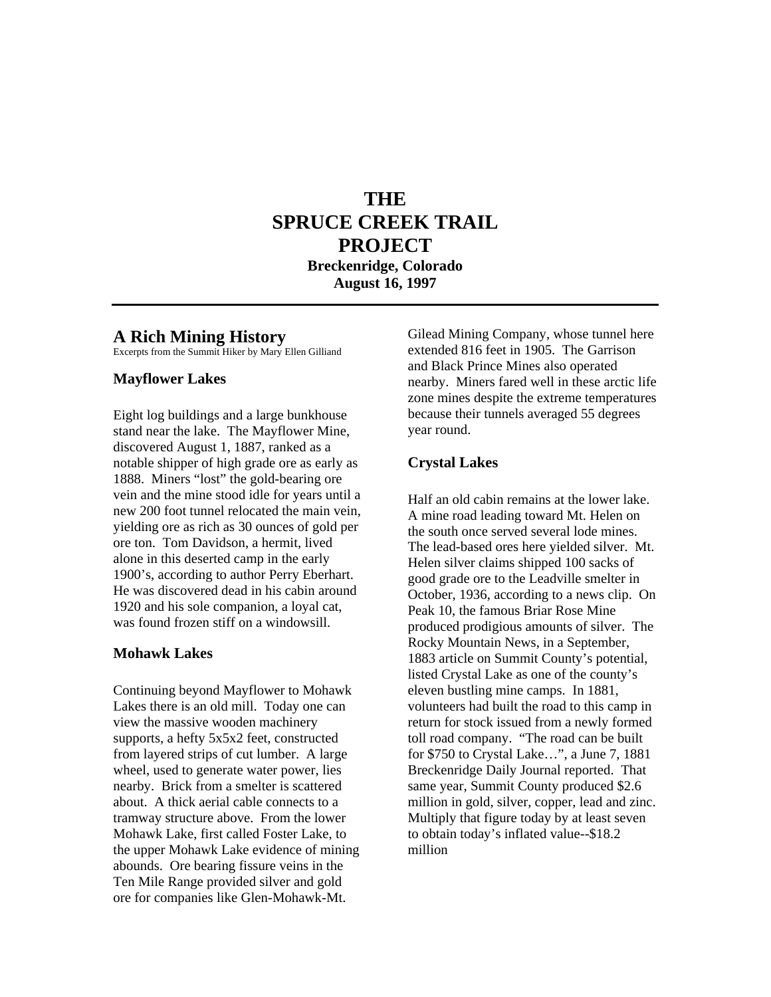# **THE SPRUCE CREEK TRAIL PROJECT**

**Breckenridge, Colorado August 16, 1997** 

#### **A Rich Mining History**

Excerpts from the Summit Hiker by Mary Ellen Gilliand

#### **Mayflower Lakes**

Eight log buildings and a large bunkhouse stand near the lake. The Mayflower Mine, discovered August 1, 1887, ranked as a notable shipper of high grade ore as early as 1888. Miners "lost" the gold-bearing ore vein and the mine stood idle for years until a new 200 foot tunnel relocated the main vein, yielding ore as rich as 30 ounces of gold per ore ton. Tom Davidson, a hermit, lived alone in this deserted camp in the early 1900's, according to author Perry Eberhart. He was discovered dead in his cabin around 1920 and his sole companion, a loyal cat, was found frozen stiff on a windowsill.

#### **Mohawk Lakes**

Continuing beyond Mayflower to Mohawk Lakes there is an old mill. Today one can view the massive wooden machinery supports, a hefty 5x5x2 feet, constructed from layered strips of cut lumber. A large wheel, used to generate water power, lies nearby. Brick from a smelter is scattered about. A thick aerial cable connects to a tramway structure above. From the lower Mohawk Lake, first called Foster Lake, to the upper Mohawk Lake evidence of mining abounds. Ore bearing fissure veins in the Ten Mile Range provided silver and gold ore for companies like Glen-Mohawk-Mt.

Gilead Mining Company, whose tunnel here extended 816 feet in 1905. The Garrison and Black Prince Mines also operated nearby. Miners fared well in these arctic life zone mines despite the extreme temperatures because their tunnels averaged 55 degrees year round.

#### **Crystal Lakes**

Half an old cabin remains at the lower lake. A mine road leading toward Mt. Helen on the south once served several lode mines. The lead-based ores here yielded silver. Mt. Helen silver claims shipped 100 sacks of good grade ore to the Leadville smelter in October, 1936, according to a news clip. On Peak 10, the famous Briar Rose Mine produced prodigious amounts of silver. The Rocky Mountain News, in a September, 1883 article on Summit County's potential, listed Crystal Lake as one of the county's eleven bustling mine camps. In 1881, volunteers had built the road to this camp in return for stock issued from a newly formed toll road company. "The road can be built for \$750 to Crystal Lake…", a June 7, 1881 Breckenridge Daily Journal reported. That same year, Summit County produced \$2.6 million in gold, silver, copper, lead and zinc. Multiply that figure today by at least seven to obtain today's inflated value--\$18.2 million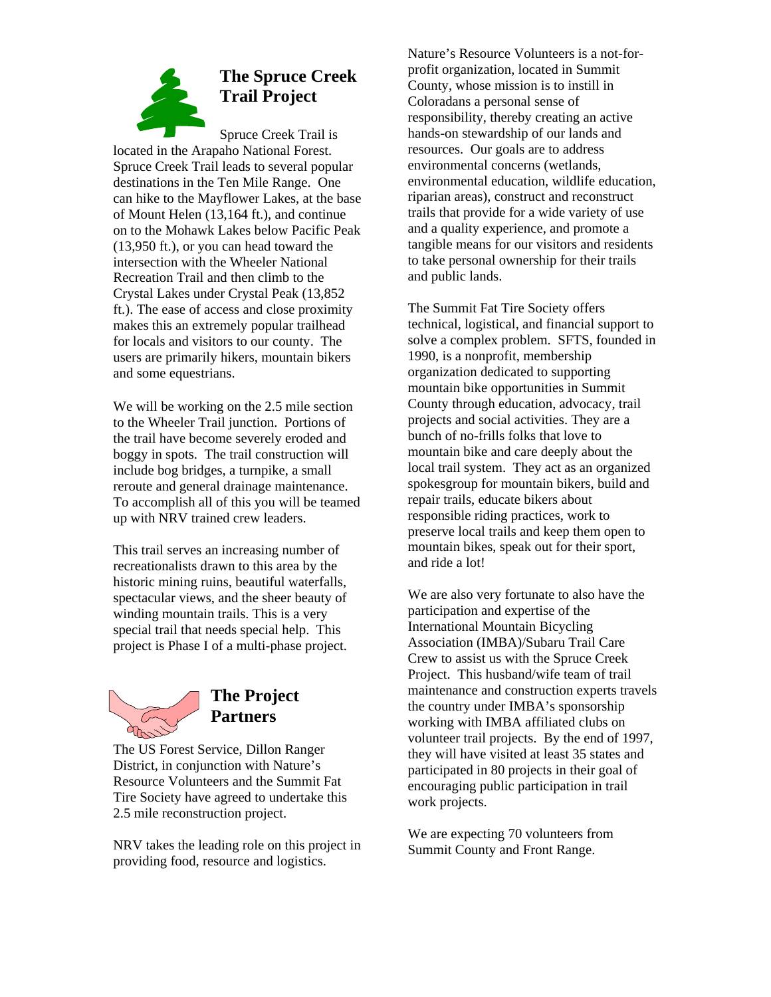

Spruce Creek Trail is located in the Arapaho National Forest. Spruce Creek Trail leads to several popular destinations in the Ten Mile Range. One can hike to the Mayflower Lakes, at the base of Mount Helen (13,164 ft.), and continue on to the Mohawk Lakes below Pacific Peak (13,950 ft.), or you can head toward the intersection with the Wheeler National Recreation Trail and then climb to the Crystal Lakes under Crystal Peak (13,852 ft.). The ease of access and close proximity makes this an extremely popular trailhead for locals and visitors to our county. The users are primarily hikers, mountain bikers and some equestrians.

We will be working on the 2.5 mile section to the Wheeler Trail junction. Portions of the trail have become severely eroded and boggy in spots. The trail construction will include bog bridges, a turnpike, a small reroute and general drainage maintenance. To accomplish all of this you will be teamed up with NRV trained crew leaders.

This trail serves an increasing number of recreationalists drawn to this area by the historic mining ruins, beautiful waterfalls, spectacular views, and the sheer beauty of winding mountain trails. This is a very special trail that needs special help. This project is Phase I of a multi-phase project.



The US Forest Service, Dillon Ranger District, in conjunction with Nature's Resource Volunteers and the Summit Fat Tire Society have agreed to undertake this 2.5 mile reconstruction project.

NRV takes the leading role on this project in providing food, resource and logistics.

Nature's Resource Volunteers is a not-forprofit organization, located in Summit County, whose mission is to instill in Coloradans a personal sense of responsibility, thereby creating an active hands-on stewardship of our lands and resources. Our goals are to address environmental concerns (wetlands, environmental education, wildlife education, riparian areas), construct and reconstruct trails that provide for a wide variety of use and a quality experience, and promote a tangible means for our visitors and residents to take personal ownership for their trails and public lands.

The Summit Fat Tire Society offers technical, logistical, and financial support to solve a complex problem. SFTS, founded in 1990, is a nonprofit, membership organization dedicated to supporting mountain bike opportunities in Summit County through education, advocacy, trail projects and social activities. They are a bunch of no-frills folks that love to mountain bike and care deeply about the local trail system. They act as an organized spokesgroup for mountain bikers, build and repair trails, educate bikers about responsible riding practices, work to preserve local trails and keep them open to mountain bikes, speak out for their sport, and ride a lot!

We are also very fortunate to also have the participation and expertise of the International Mountain Bicycling Association (IMBA)/Subaru Trail Care Crew to assist us with the Spruce Creek Project. This husband/wife team of trail maintenance and construction experts travels the country under IMBA's sponsorship working with IMBA affiliated clubs on volunteer trail projects. By the end of 1997, they will have visited at least 35 states and participated in 80 projects in their goal of encouraging public participation in trail work projects.

We are expecting 70 volunteers from Summit County and Front Range.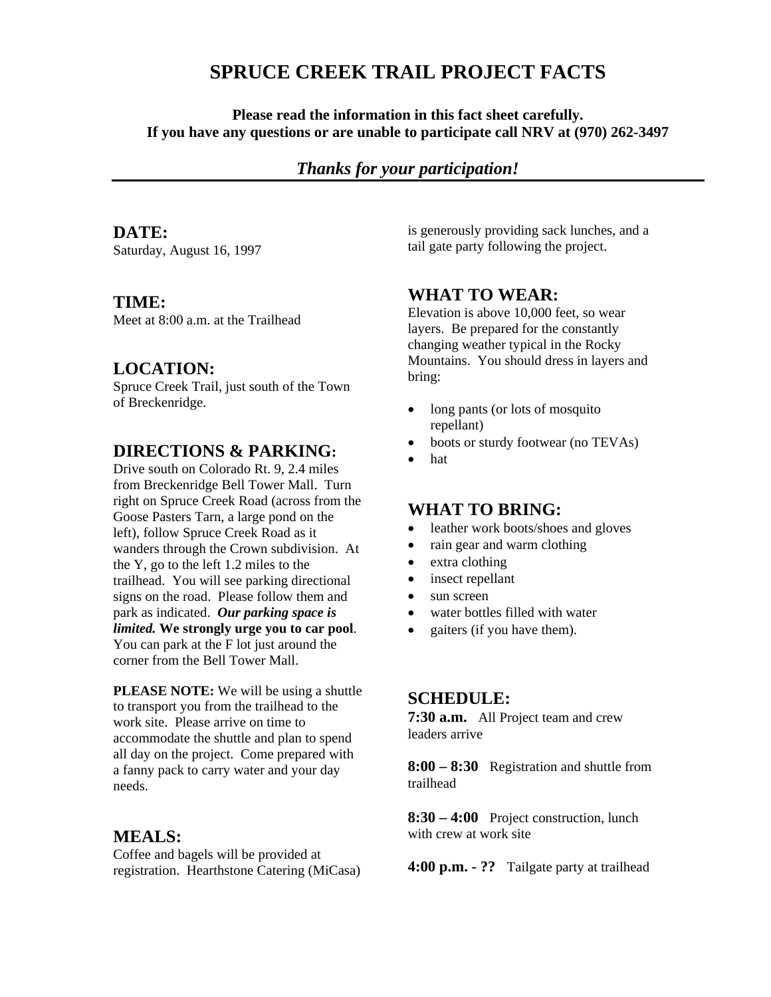## **SPRUCE CREEK TRAIL PROJECT FACTS**

**Please read the information in this fact sheet carefully. If you have any questions or are unable to participate call NRV at (970) 262-3497** 

## *Thanks for your participation!*

#### **DATE:**

Saturday, August 16, 1997

#### **TIME:**

Meet at 8:00 a.m. at the Trailhead

### **LOCATION:**

Spruce Creek Trail, just south of the Town of Breckenridge.

### **DIRECTIONS & PARKING:**

Drive south on Colorado Rt. 9, 2.4 miles from Breckenridge Bell Tower Mall. Turn right on Spruce Creek Road (across from the Goose Pasters Tarn, a large pond on the left), follow Spruce Creek Road as it wanders through the Crown subdivision. At the Y, go to the left 1.2 miles to the trailhead. You will see parking directional signs on the road. Please follow them and park as indicated. *Our parking space is limited.* **We strongly urge you to car pool**. You can park at the F lot just around the corner from the Bell Tower Mall.

**PLEASE NOTE:** We will be using a shuttle to transport you from the trailhead to the work site. Please arrive on time to accommodate the shuttle and plan to spend all day on the project. Come prepared with a fanny pack to carry water and your day needs.

#### **MEALS:**

Coffee and bagels will be provided at registration. Hearthstone Catering (MiCasa) is generously providing sack lunches, and a tail gate party following the project.

### **WHAT TO WEAR:**

Elevation is above 10,000 feet, so wear layers. Be prepared for the constantly changing weather typical in the Rocky Mountains. You should dress in layers and bring:

- long pants (or lots of mosquito repellant)
- boots or sturdy footwear (no TEVAs)
- hat

#### **WHAT TO BRING:**

- leather work boots/shoes and gloves
- rain gear and warm clothing
- extra clothing
- insect repellant
- sun screen
- water bottles filled with water
- gaiters (if you have them).

#### **SCHEDULE:**

**7:30 a.m.** All Project team and crew leaders arrive

**8:00 – 8:30** Registration and shuttle from trailhead

**8:30 – 4:00** Project construction, lunch with crew at work site

**4:00 p.m. - ??** Tailgate party at trailhead